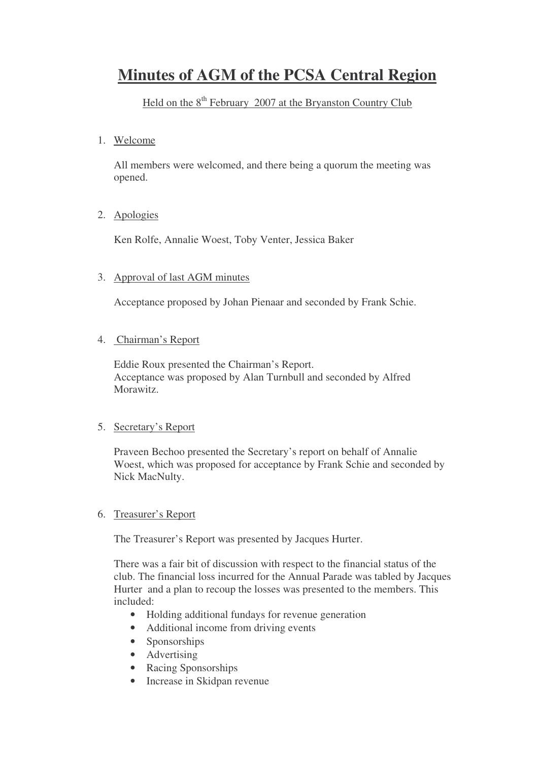# **Minutes of AGM of the PCSA Central Region**

# Held on the 8<sup>th</sup> February 2007 at the Bryanston Country Club

1. Welcome

All members were welcomed, and there being a quorum the meeting was opened.

2. Apologies

Ken Rolfe, Annalie Woest, Toby Venter, Jessica Baker

### 3. Approval of last AGM minutes

Acceptance proposed by Johan Pienaar and seconded by Frank Schie.

### 4. Chairman's Report

Eddie Roux presented the Chairman's Report. Acceptance was proposed by Alan Turnbull and seconded by Alfred Morawitz.

### 5. Secretary's Report

Praveen Bechoo presented the Secretary's report on behalf of Annalie Woest, which was proposed for acceptance by Frank Schie and seconded by Nick MacNulty.

### 6. Treasurer's Report

The Treasurer's Report was presented by Jacques Hurter.

There was a fair bit of discussion with respect to the financial status of the club. The financial loss incurred for the Annual Parade was tabled by Jacques Hurter and a plan to recoup the losses was presented to the members. This included:

- Holding additional fundays for revenue generation
- Additional income from driving events
- Sponsorships
- Advertising
- Racing Sponsorships
- Increase in Skidpan revenue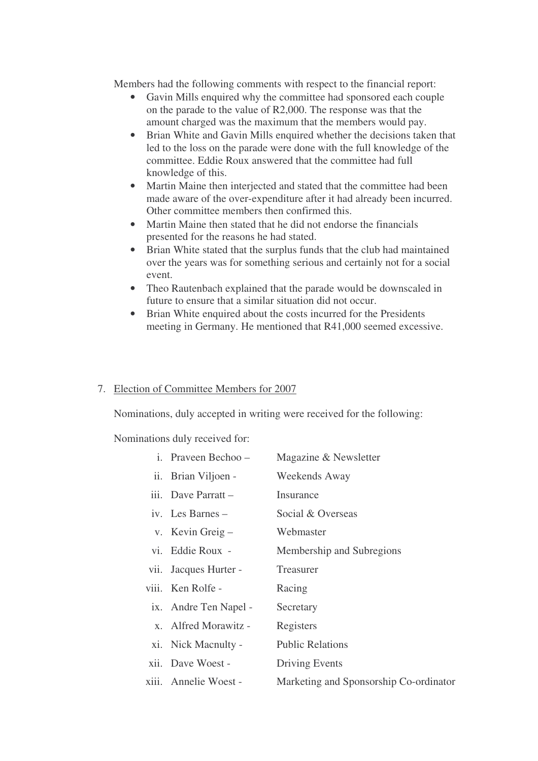Members had the following comments with respect to the financial report:

- Gavin Mills enquired why the committee had sponsored each couple on the parade to the value of R2,000. The response was that the amount charged was the maximum that the members would pay.
- Brian White and Gavin Mills enquired whether the decisions taken that led to the loss on the parade were done with the full knowledge of the committee. Eddie Roux answered that the committee had full knowledge of this.
- Martin Maine then interjected and stated that the committee had been made aware of the over-expenditure after it had already been incurred. Other committee members then confirmed this.
- Martin Maine then stated that he did not endorse the financials presented for the reasons he had stated.
- Brian White stated that the surplus funds that the club had maintained over the years was for something serious and certainly not for a social event.
- Theo Rautenbach explained that the parade would be downscaled in future to ensure that a similar situation did not occur.
- Brian White enquired about the costs incurred for the Presidents meeting in Germany. He mentioned that R41,000 seemed excessive.

#### 7. Election of Committee Members for 2007

Nominations, duly accepted in writing were received for the following:

Nominations duly received for:

| i. Praveen Bechoo -   | Magazine & Newsletter                  |
|-----------------------|----------------------------------------|
| ii. Brian Viljoen -   | Weekends Away                          |
| iii. Dave Parratt -   | Insurance                              |
| iv. Les Barnes $-$    | Social & Overseas                      |
| v. Kevin Greig $-$    | Webmaster                              |
| vi. Eddie Roux -      | Membership and Subregions              |
| vii. Jacques Hurter - | Treasurer                              |
| viii. Ken Rolfe -     | Racing                                 |
| ix. Andre Ten Napel - | Secretary                              |
| x. Alfred Morawitz -  | Registers                              |
| xi. Nick Macnulty -   | <b>Public Relations</b>                |
| xii. Dave Woest -     | Driving Events                         |
| xiii. Annelie Woest - | Marketing and Sponsorship Co-ordinator |